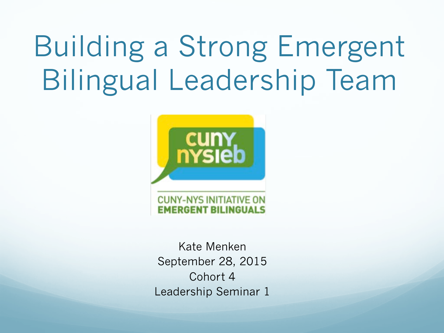# Building a Strong Emergent Bilingual Leadership Team



Kate Menken September 28, 2015 Cohort 4 Leadership Seminar 1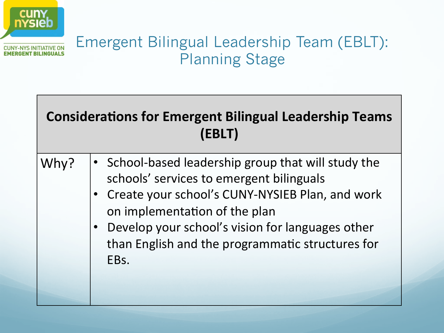

#### Emergent Bilingual Leadership Team (EBLT): Planning Stage

#### **Considerations for Emergent Bilingual Leadership Teams (EBLT)**

- Why?  $| \cdot \rangle$  School-based leadership group that will study the schools' services to emergent bilinguals
	- Create your school's CUNY-NYSIEB Plan, and work on implementation of the plan
	- Develop your school's vision for languages other than English and the programmatic structures for EBs.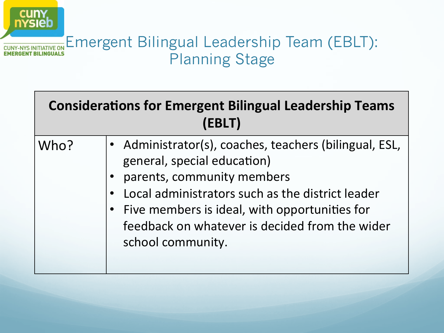

| <b>Considerations for Emergent Bilingual Leadership Teams</b><br>(EBLT) |                                                                                                                                                                                                                                                                                                 |
|-------------------------------------------------------------------------|-------------------------------------------------------------------------------------------------------------------------------------------------------------------------------------------------------------------------------------------------------------------------------------------------|
| Who?                                                                    | • Administrator(s), coaches, teachers (bilingual, ESL,<br>general, special education)<br>parents, community members<br>Local administrators such as the district leader<br>Five members is ideal, with opportunities for<br>feedback on whatever is decided from the wider<br>school community. |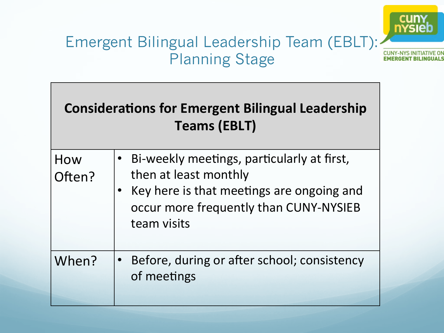

#### Emergent Bilingual Leadership Team (EBLT): Planning Stage

| <b>Considerations for Emergent Bilingual Leadership</b><br><b>Teams (EBLT)</b> |                                                                                                                                                                           |  |
|--------------------------------------------------------------------------------|---------------------------------------------------------------------------------------------------------------------------------------------------------------------------|--|
| How<br>Often?                                                                  | Bi-weekly meetings, particularly at first,<br>then at least monthly<br>Key here is that meetings are ongoing and<br>occur more frequently than CUNY-NYSIEB<br>team visits |  |
| When?                                                                          | Before, during or after school; consistency<br>of meetings                                                                                                                |  |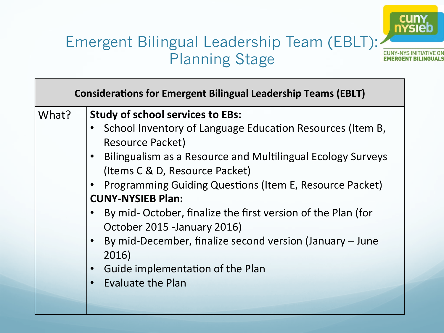#### cuny<br>
<u>nysie</u> **CUNY-NYS INITIATIVE O EMERGENT BILINGUALS**

#### Emergent Bilingual Leadership Team (EBLT): Planning Stage

|       | <b>Considerations for Emergent Bilingual Leadership Teams (EBLT)</b>                                                                                                                                                                                                                                                                                                                                                                                                                                                                                                                          |
|-------|-----------------------------------------------------------------------------------------------------------------------------------------------------------------------------------------------------------------------------------------------------------------------------------------------------------------------------------------------------------------------------------------------------------------------------------------------------------------------------------------------------------------------------------------------------------------------------------------------|
| What? | <b>Study of school services to EBs:</b><br>School Inventory of Language Education Resources (Item B,<br><b>Resource Packet)</b><br>Bilingualism as a Resource and Multilingual Ecology Surveys<br>(Items C & D, Resource Packet)<br><b>Programming Guiding Questions (Item E, Resource Packet)</b><br><b>CUNY-NYSIEB Plan:</b><br>By mid- October, finalize the first version of the Plan (for<br>October 2015 - January 2016)<br>By mid-December, finalize second version (January – June<br>2016)<br>Guide implementation of the Plan<br>$\bullet$<br><b>Evaluate the Plan</b><br>$\bullet$ |
|       |                                                                                                                                                                                                                                                                                                                                                                                                                                                                                                                                                                                               |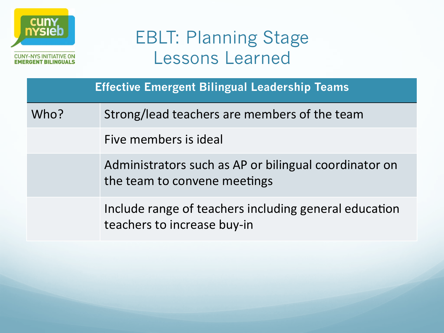

|      | <b>Effective Emergent Bilingual Leadership Teams</b>                                  |
|------|---------------------------------------------------------------------------------------|
| Who? | Strong/lead teachers are members of the team                                          |
|      | Five members is ideal                                                                 |
|      | Administrators such as AP or bilingual coordinator on<br>the team to convene meetings |
|      | Include range of teachers including general education<br>teachers to increase buy-in  |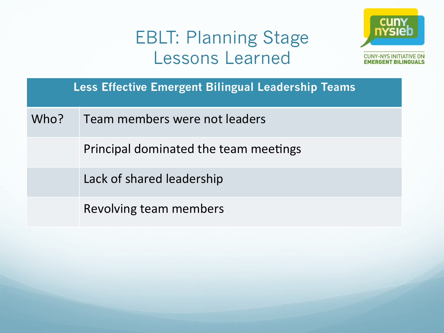

**Less Effective Emergent Bilingual Leadership Teams** 

Who? Feam members were not leaders

Principal dominated the team meetings

Lack of shared leadership

Revolving team members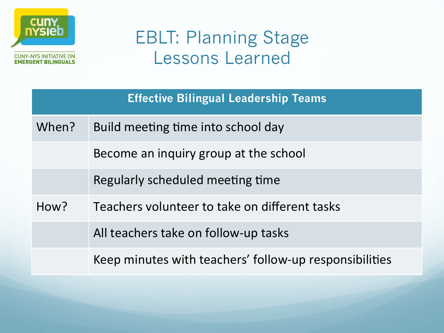

|       | <b>Effective Bilingual Leadership Teams</b>            |
|-------|--------------------------------------------------------|
| When? | Build meeting time into school day                     |
|       | Become an inquiry group at the school                  |
|       | Regularly scheduled meeting time                       |
| How?  | Teachers volunteer to take on different tasks          |
|       | All teachers take on follow-up tasks                   |
|       | Keep minutes with teachers' follow-up responsibilities |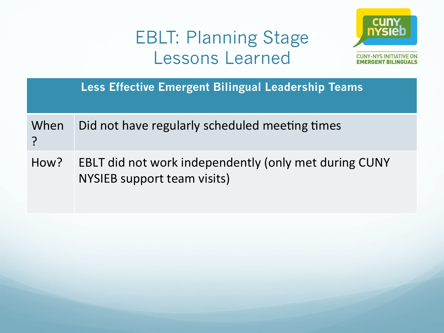

|      | <b>Less Effective Emergent Bilingual Leadership Teams</b>                            |
|------|--------------------------------------------------------------------------------------|
| When | Did not have regularly scheduled meeting times                                       |
| How? | EBLT did not work independently (only met during CUNY<br>NYSIEB support team visits) |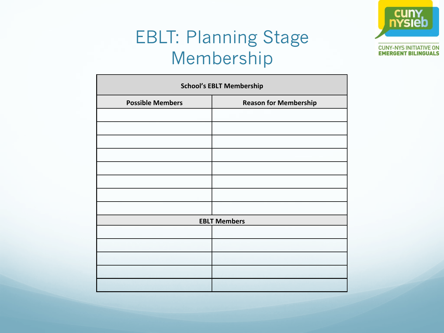

## EBLT: Planning Stage Membership

| <b>School's EBLT Membership</b> |                              |  |
|---------------------------------|------------------------------|--|
| <b>Possible Members</b>         | <b>Reason for Membership</b> |  |
|                                 |                              |  |
|                                 |                              |  |
|                                 |                              |  |
|                                 |                              |  |
|                                 |                              |  |
|                                 |                              |  |
|                                 |                              |  |
|                                 |                              |  |
|                                 | <b>EBLT Members</b>          |  |
|                                 |                              |  |
|                                 |                              |  |
|                                 |                              |  |
|                                 |                              |  |
|                                 |                              |  |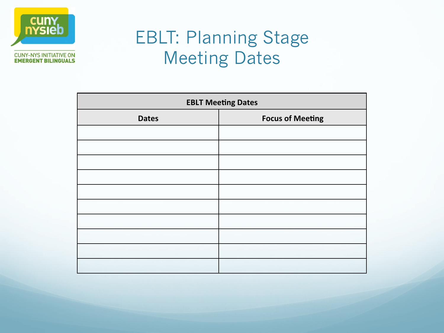

## EBLT: Planning Stage Meeting Dates

| <b>EBLT Meeting Dates</b> |                         |
|---------------------------|-------------------------|
| <b>Dates</b>              | <b>Focus of Meeting</b> |
|                           |                         |
|                           |                         |
|                           |                         |
|                           |                         |
|                           |                         |
|                           |                         |
|                           |                         |
|                           |                         |
|                           |                         |
|                           |                         |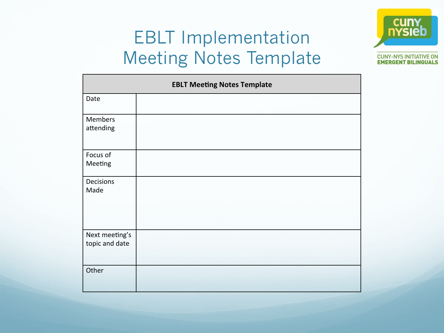#### EBLT Implementation Meeting Notes Template



| <b>EBLT Meeting Notes Template</b> |  |
|------------------------------------|--|
| Date                               |  |
| Members<br>attending               |  |
| Focus of<br>Meeting                |  |
| Decisions<br>Made                  |  |
| Next meeting's<br>topic and date   |  |
| Other                              |  |